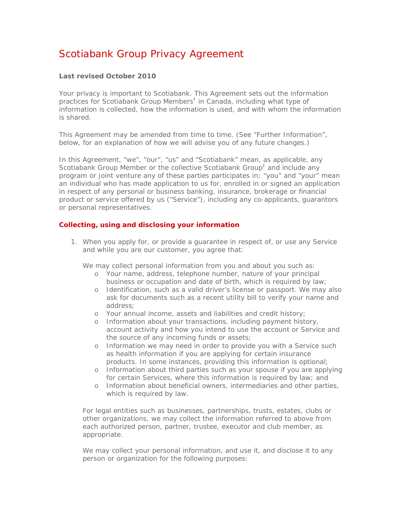# Scotiabank Group Privacy Agreement

# **Last revised October 2010**

Your privacy is important to Scotiabank. This Agreement sets out the information practices for Scotiabank Group Members<sup>†</sup> in Canada, including what type of information is collected, how the information is used, and with whom the information is shared.

This Agreement may be amended from time to time. (See "Further Information", below, for an explanation of how we will advise you of any future changes.)

In this Agreement, "we", "our", "us" and "Scotiabank" mean, as applicable, any Scotiabank Group Member or the collective Scotiabank Group<sup>†</sup> and include any program or joint venture any of these parties participates in; "you" and "your" mean an individual who has made application to us for, enrolled in or signed an application in respect of any personal or business banking, insurance, brokerage or financial product or service offered by us ("Service"), including any co-applicants, guarantors or personal representatives.

## **Collecting, using and disclosing your information**

1. When you apply for, or provide a guarantee in respect of, or use any Service and while you are our customer, you agree that:

We may collect personal information from you and about you such as:

- o Your name, address, telephone number, nature of your principal business or occupation and date of birth, which is required by law;
- o Identification, such as a valid driver's license or passport. We may also ask for documents such as a recent utility bill to verify your name and address;
- o Your annual income, assets and liabilities and credit history;
- o Information about your transactions, including payment history, account activity and how you intend to use the account or Service and the source of any incoming funds or assets;
- o Information we may need in order to provide you with a Service such as health information if you are applying for certain insurance products. In some instances, providing this information is optional;
- o Information about third parties such as your spouse if you are applying for certain Services, where this information is required by law; and
- o Information about beneficial owners, intermediaries and other parties, which is required by law.

For legal entities such as businesses, partnerships, trusts, estates, clubs or other organizations, we may collect the information referred to above from each authorized person, partner, trustee, executor and club member, as appropriate.

We may collect your personal information, and use it, and disclose it to any person or organization for the following purposes: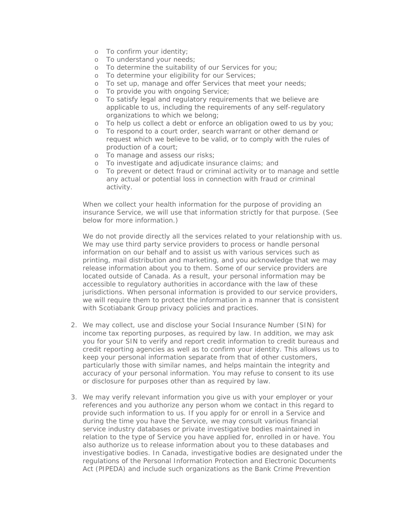- o To confirm your identity;
- o To understand your needs;
- o To determine the suitability of our Services for you;
- o To determine your eligibility for our Services;
- o To set up, manage and offer Services that meet your needs;
- o To provide you with ongoing Service;
- o To satisfy legal and regulatory requirements that we believe are applicable to us, including the requirements of any self-regulatory organizations to which we belong;
- o To help us collect a debt or enforce an obligation owed to us by you;
- o To respond to a court order, search warrant or other demand or request which we believe to be valid, or to comply with the rules of production of a court;
- o To manage and assess our risks;
- o To investigate and adjudicate insurance claims; and
- o To prevent or detect fraud or criminal activity or to manage and settle any actual or potential loss in connection with fraud or criminal activity.

When we collect your health information for the purpose of providing an insurance Service, we will use that information strictly for that purpose. (See below for more information.)

We do not provide directly all the services related to your relationship with us. We may use third party service providers to process or handle personal information on our behalf and to assist us with various services such as printing, mail distribution and marketing, and you acknowledge that we may release information about you to them. Some of our service providers are located outside of Canada. As a result, your personal information may be accessible to regulatory authorities in accordance with the law of these jurisdictions. When personal information is provided to our service providers, we will require them to protect the information in a manner that is consistent with Scotiabank Group privacy policies and practices.

- 2. We may collect, use and disclose your Social Insurance Number (SIN) for income tax reporting purposes, as required by law. In addition, we may ask you for your SIN to verify and report credit information to credit bureaus and credit reporting agencies as well as to confirm your identity. This allows us to keep your personal information separate from that of other customers, particularly those with similar names, and helps maintain the integrity and accuracy of your personal information. You may refuse to consent to its use or disclosure for purposes other than as required by law.
- 3. We may verify relevant information you give us with your employer or your references and you authorize any person whom we contact in this regard to provide such information to us. If you apply for or enroll in a Service and during the time you have the Service, we may consult various financial service industry databases or private investigative bodies maintained in relation to the type of Service you have applied for, enrolled in or have. You also authorize us to release information about you to these databases and investigative bodies. In Canada, investigative bodies are designated under the regulations of the *Personal Information Protection and Electronic Documents Act* (PIPEDA) and include such organizations as the Bank Crime Prevention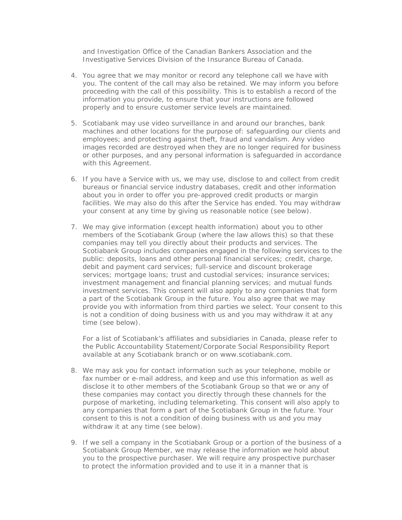and Investigation Office of the Canadian Bankers Association and the Investigative Services Division of the Insurance Bureau of Canada.

- 4. You agree that we may monitor or record any telephone call we have with you. The content of the call may also be retained. We may inform you before proceeding with the call of this possibility. This is to establish a record of the information you provide, to ensure that your instructions are followed properly and to ensure customer service levels are maintained.
- 5. Scotiabank may use video surveillance in and around our branches, bank machines and other locations for the purpose of: safeguarding our clients and employees; and protecting against theft, fraud and vandalism. Any video images recorded are destroyed when they are no longer required for business or other purposes, and any personal information is safeguarded in accordance with this Agreement.
- 6. If you have a Service with us, we may use, disclose to and collect from credit bureaus or financial service industry databases, credit and other information about you in order to offer you pre-approved credit products or margin facilities. We may also do this after the Service has ended. You may withdraw your consent at any time by giving us reasonable notice (see below).
- 7. We may give information (except health information) about you to other members of the Scotiabank Group (where the law allows this) so that these companies may tell you directly about their products and services. The Scotiabank Group includes companies engaged in the following services to the public: deposits, loans and other personal financial services; credit, charge, debit and payment card services; full-service and discount brokerage services; mortgage loans; trust and custodial services; insurance services; investment management and financial planning services; and mutual funds investment services. This consent will also apply to any companies that form a part of the Scotiabank Group in the future. You also agree that we may provide you with information from third parties we select. Your consent to this is not a condition of doing business with us and you may withdraw it at any time (see below).

For a list of Scotiabank's affiliates and subsidiaries in Canada, please refer to the Public Accountability Statement/Corporate Social Responsibility Report available at any Scotiabank branch or on www.scotiabank.com.

- 8. We may ask you for contact information such as your telephone, mobile or fax number or e-mail address, and keep and use this information as well as disclose it to other members of the Scotiabank Group so that we or any of these companies may contact you directly through these channels for the purpose of marketing, including telemarketing. This consent will also apply to any companies that form a part of the Scotiabank Group in the future. Your consent to this is not a condition of doing business with us and you may withdraw it at any time (see below).
- 9. If we sell a company in the Scotiabank Group or a portion of the business of a Scotiabank Group Member, we may release the information we hold about you to the prospective purchaser. We will require any prospective purchaser to protect the information provided and to use it in a manner that is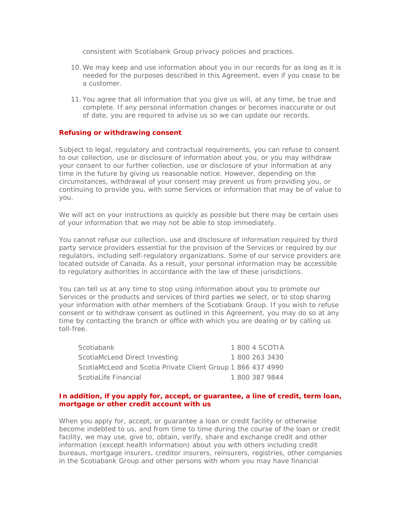consistent with Scotiabank Group privacy policies and practices.

- 10.We may keep and use information about you in our records for as long as it is needed for the purposes described in this Agreement, even if you cease to be a customer.
- 11. You agree that all information that you give us will, at any time, be true and complete. If any personal information changes or becomes inaccurate or out of date, you are required to advise us so we can update our records.

#### **Refusing or withdrawing consent**

Subject to legal, regulatory and contractual requirements, you can refuse to consent to our collection, use or disclosure of information about you, or you may withdraw your consent to our further collection, use or disclosure of your information at any time in the future by giving us reasonable notice. However, depending on the circumstances, withdrawal of your consent may prevent us from providing you, or continuing to provide you, with some Services or information that may be of value to you.

We will act on your instructions as quickly as possible but there may be certain uses of your information that we may not be able to stop immediately.

You cannot refuse our collection, use and disclosure of information required by third party service providers essential for the provision of the Services or required by our regulators, including self-regulatory organizations. Some of our service providers are located outside of Canada. As a result, your personal information may be accessible to regulatory authorities in accordance with the law of these jurisdictions.

You can tell us at any time to stop using information about you to promote our Services or the products and services of third parties we select, or to stop sharing your information with other members of the Scotiabank Group. If you wish to refuse consent or to withdraw consent as outlined in this Agreement, you may do so at any time by contacting the branch or office with which you are dealing or by calling us toll-free.

| Scotiabank                                                  |  | 1 800 4 SCOTIA |
|-------------------------------------------------------------|--|----------------|
| ScotiaMcLeod Direct Investing                               |  | 1 800 263 3430 |
| ScotiaMcLeod and Scotia Private Client Group 1 866 437 4990 |  |                |
| ScotiaLife Financial                                        |  | 1 800 387 9844 |

## **In addition, if you apply for, accept, or guarantee, a line of credit, term loan, mortgage or other credit account with us**

When you apply for, accept, or guarantee a loan or credit facility or otherwise become indebted to us, and from time to time during the course of the loan or credit facility, we may use, give to, obtain, verify, share and exchange credit and other information (except health information) about you with others including credit bureaus, mortgage insurers, creditor insurers, reinsurers, registries, other companies in the Scotiabank Group and other persons with whom you may have financial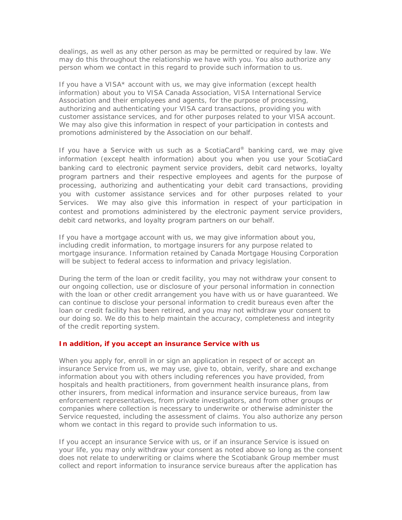dealings, as well as any other person as may be permitted or required by law. We may do this throughout the relationship we have with you. You also authorize any person whom we contact in this regard to provide such information to us.

If you have a VISA\* account with us, we may give information (except health information) about you to VISA Canada Association, VISA International Service Association and their employees and agents, for the purpose of processing, authorizing and authenticating your VISA card transactions, providing you with customer assistance services, and for other purposes related to your VISA account. We may also give this information in respect of your participation in contests and promotions administered by the Association on our behalf.

If you have a Service with us such as a *ScotiaCard*® banking card, we may give information (except health information) about you when you use your *ScotiaCard*  banking card to electronic payment service providers, debit card networks, loyalty program partners and their respective employees and agents for the purpose of processing, authorizing and authenticating your debit card transactions, providing you with customer assistance services and for other purposes related to your Services. We may also give this information in respect of your participation in contest and promotions administered by the electronic payment service providers, debit card networks, and loyalty program partners on our behalf.

If you have a mortgage account with us, we may give information about you, including credit information, to mortgage insurers for any purpose related to mortgage insurance. Information retained by Canada Mortgage Housing Corporation will be subject to federal access to information and privacy legislation.

During the term of the loan or credit facility, you may not withdraw your consent to our ongoing collection, use or disclosure of your personal information in connection with the loan or other credit arrangement you have with us or have guaranteed. We can continue to disclose your personal information to credit bureaus even after the loan or credit facility has been retired, and you may not withdraw your consent to our doing so. We do this to help maintain the accuracy, completeness and integrity of the credit reporting system.

## **In addition, if you accept an insurance Service with us**

When you apply for, enroll in or sign an application in respect of or accept an insurance Service from us, we may use, give to, obtain, verify, share and exchange information about you with others including references you have provided, from hospitals and health practitioners, from government health insurance plans, from other insurers, from medical information and insurance service bureaus, from law enforcement representatives, from private investigators, and from other groups or companies where collection is necessary to underwrite or otherwise administer the Service requested, including the assessment of claims. You also authorize any person whom we contact in this regard to provide such information to us.

If you accept an insurance Service with us, or if an insurance Service is issued on your life, you may only withdraw your consent as noted above so long as the consent does not relate to underwriting or claims where the Scotiabank Group member must collect and report information to insurance service bureaus after the application has